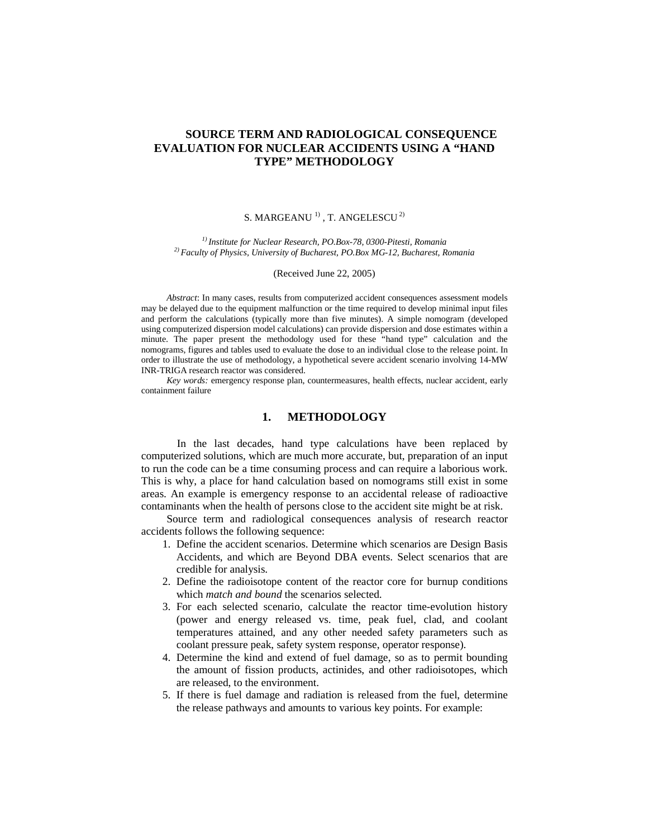# **SOURCE TERM AND RADIOLOGICAL CONSEQUENCE EVALUATION FOR NUCLEAR ACCIDENTS USING A "HAND TYPE" METHODOLOGY**

### S. MARGEANU  $^1$ , T. ANGELESCU  $^2$

*1) Institute for Nuclear Research, PO.Box-78, 0300-Pitesti, Romania 2) Faculty of Physics, University of Bucharest, PO.Box MG-12, Bucharest, Romania*

#### (Received June 22, 2005)

*Abstract*: In many cases, results from computerized accident consequences assessment models may be delayed due to the equipment malfunction or the time required to develop minimal input files and perform the calculations (typically more than five minutes). A simple nomogram (developed using computerized dispersion model calculations) can provide dispersion and dose estimates within a minute. The paper present the methodology used for these "hand type" calculation and the nomograms, figures and tables used to evaluate the dose to an individual close to the release point. In order to illustrate the use of methodology, a hypothetical severe accident scenario involving 14-MW INR-TRIGA research reactor was considered.

*Key words:* emergency response plan, countermeasures, health effects, nuclear accident, early containment failure

## **1. METHODOLOGY**

In the last decades, hand type calculations have been replaced by computerized solutions, which are much more accurate, but, preparation of an input to run the code can be a time consuming process and can require a laborious work. This is why, a place for hand calculation based on nomograms still exist in some areas. An example is emergency response to an accidental release of radioactive contaminants when the health of persons close to the accident site might be at risk.

Source term and radiological consequences analysis of research reactor accidents follows the following sequence:

- 1. Define the accident scenarios. Determine which scenarios are Design Basis Accidents, and which are Beyond DBA events. Select scenarios that are credible for analysis.
- 2. Define the radioisotope content of the reactor core for burnup conditions which *match and bound* the scenarios selected.
- 3. For each selected scenario, calculate the reactor time-evolution history (power and energy released vs. time, peak fuel, clad, and coolant temperatures attained, and any other needed safety parameters such as coolant pressure peak, safety system response, operator response).
- 4. Determine the kind and extend of fuel damage, so as to permit bounding the amount of fission products, actinides, and other radioisotopes, which are released, to the environment.
- 5. If there is fuel damage and radiation is released from the fuel, determine the release pathways and amounts to various key points. For example: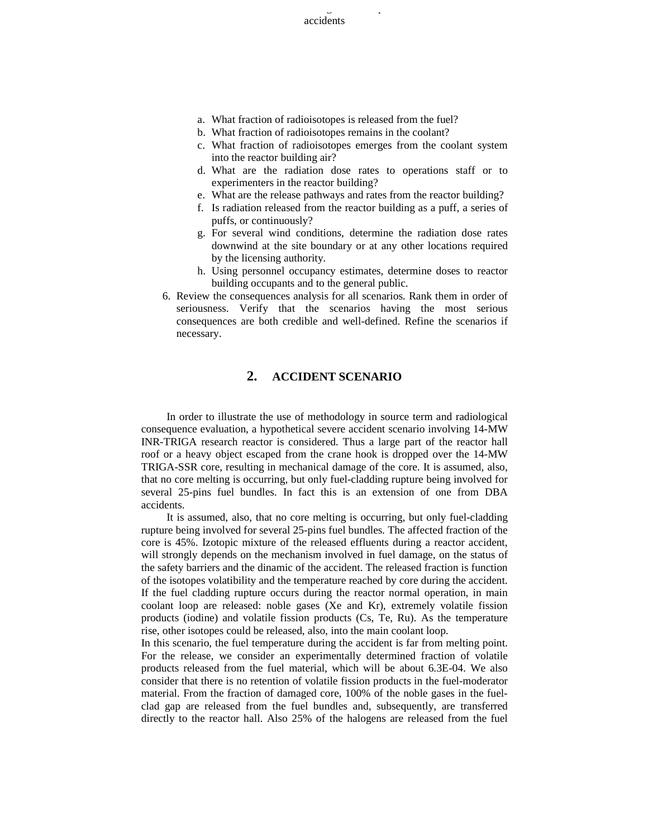accidents

367 Source term and radiological consequence evaluation for nuclear

- a. What fraction of radioisotopes is released from the fuel?
- b. What fraction of radioisotopes remains in the coolant?
- c. What fraction of radioisotopes emerges from the coolant system into the reactor building air?
- d. What are the radiation dose rates to operations staff or to experimenters in the reactor building?
- e. What are the release pathways and rates from the reactor building?
- f. Is radiation released from the reactor building as a puff, a series of puffs, or continuously?
- g. For several wind conditions, determine the radiation dose rates downwind at the site boundary or at any other locations required by the licensing authority.
- h. Using personnel occupancy estimates, determine doses to reactor building occupants and to the general public.
- 6. Review the consequences analysis for all scenarios. Rank them in order of seriousness. Verify that the scenarios having the most serious consequences are both credible and well-defined. Refine the scenarios if necessary.

## **2. ACCIDENT SCENARIO**

In order to illustrate the use of methodology in source term and radiological consequence evaluation, a hypothetical severe accident scenario involving 14-MW INR-TRIGA research reactor is considered. Thus a large part of the reactor hall roof or a heavy object escaped from the crane hook is dropped over the 14-MW TRIGA-SSR core, resulting in mechanical damage of the core. It is assumed, also, that no core melting is occurring, but only fuel-cladding rupture being involved for several 25-pins fuel bundles. In fact this is an extension of one from DBA accidents.

It is assumed, also, that no core melting is occurring, but only fuel-cladding rupture being involved for several 25-pins fuel bundles. The affected fraction of the core is 45%. Izotopic mixture of the released effluents during a reactor accident, will strongly depends on the mechanism involved in fuel damage, on the status of the safety barriers and the dinamic of the accident. The released fraction is function of the isotopes volatibility and the temperature reached by core during the accident. If the fuel cladding rupture occurs during the reactor normal operation, in main coolant loop are released: noble gases (Xe and Kr), extremely volatile fission products (iodine) and volatile fission products (Cs, Te, Ru). As the temperature rise, other isotopes could be released, also, into the main coolant loop.

In this scenario, the fuel temperature during the accident is far from melting point. For the release, we consider an experimentally determined fraction of volatile products released from the fuel material, which will be about 6.3E-04. We also consider that there is no retention of volatile fission products in the fuel-moderator material. From the fraction of damaged core, 100% of the noble gases in the fuelclad gap are released from the fuel bundles and, subsequently, are transferred directly to the reactor hall. Also 25% of the halogens are released from the fuel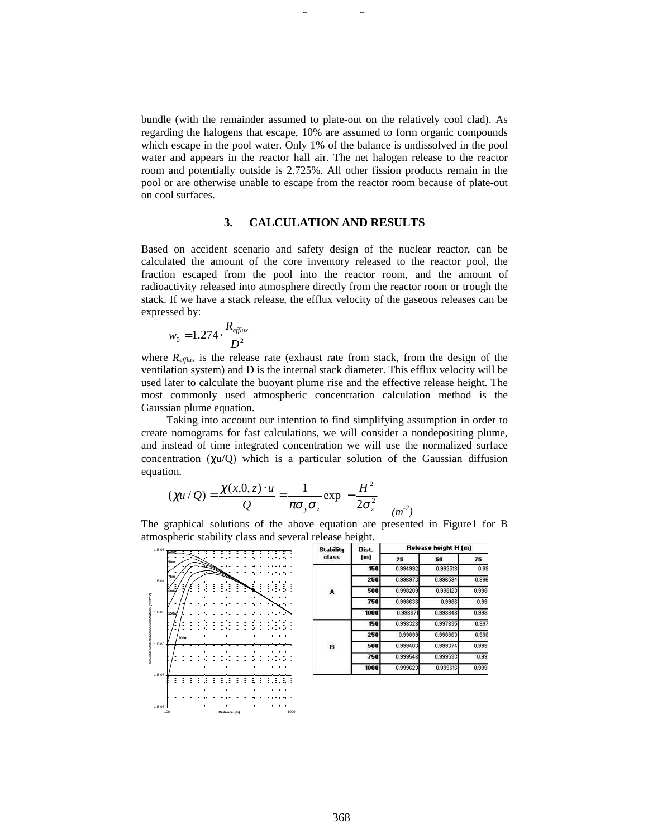bundle (with the remainder assumed to plate-out on the relatively cool clad). As regarding the halogens that escape, 10% are assumed to form organic compounds which escape in the pool water. Only 1% of the balance is undissolved in the pool water and appears in the reactor hall air. The net halogen release to the reactor room and potentially outside is 2.725%. All other fission products remain in the pool or are otherwise unable to escape from the reactor room because of plate-out on cool surfaces.

## **3. CALCULATION AND RESULTS**

Based on accident scenario and safety design of the nuclear reactor, can be calculated the amount of the core inventory released to the reactor pool, the fraction escaped from the pool into the reactor room, and the amount of radioactivity released into atmosphere directly from the reactor room or trough the stack. If we have a stack release, the efflux velocity of the gaseous releases can be expressed by:

$$
w_0 = 1.274 \cdot \frac{R_{\text{efflux}}}{D^2}
$$

where  $R_{\text{efflux}}$  is the release rate (exhaust rate from stack, from the design of the ventilation system) and D is the internal stack diameter. This efflux velocity will be used later to calculate the buoyant plume rise and the effective release height. The most commonly used atmospheric concentration calculation method is the Gaussian plume equation.

Taking into account our intention to find simplifying assumption in order to create nomograms for fast calculations, we will consider a nondepositing plume, and instead of time integrated concentration we will use the normalized surface concentration  $(\chi u/Q)$  which is a particular solution of the Gaussian diffusion equation.

$$
(\chi u/Q) = \frac{\chi(x,0,z) \cdot u}{Q} = \frac{1}{\pi \sigma_y \sigma_z} \exp\left(-\frac{H^2}{2\sigma_z^2}\right)_{(m^2)}
$$

The graphical solutions of the above equation are presented in Figure1 for B atmospheric stability class and several release height.



| <b>Stability</b><br>class | Dist.<br>(m) | Release height H (m) |          |        |
|---------------------------|--------------|----------------------|----------|--------|
|                           |              | 25                   | 50       | 75     |
| A                         | 150          | 0.994992             | 0.993518 | 0.99   |
|                           | 250          | 0.996973             | 0.996594 | 0.996  |
|                           | 500          | 0.998209             | 0.998123 | 0.998  |
|                           | 750          | 0.998638             | 0.9986   | 0.99   |
|                           | 1000         | 0.998871             | 0.998848 | 0.998  |
| в                         | 150          | 0.998328             | 0.997835 | 0.997  |
|                           | 250          | 0.99899              | 0.998863 | 0.998  |
|                           | 500          | 0.999403             | 0.999374 | 0.999: |
|                           | 750          | 0.999546             | 0.999533 | 0.99:  |
|                           | 1000         | 0.999623             | 0.999616 | 0.999  |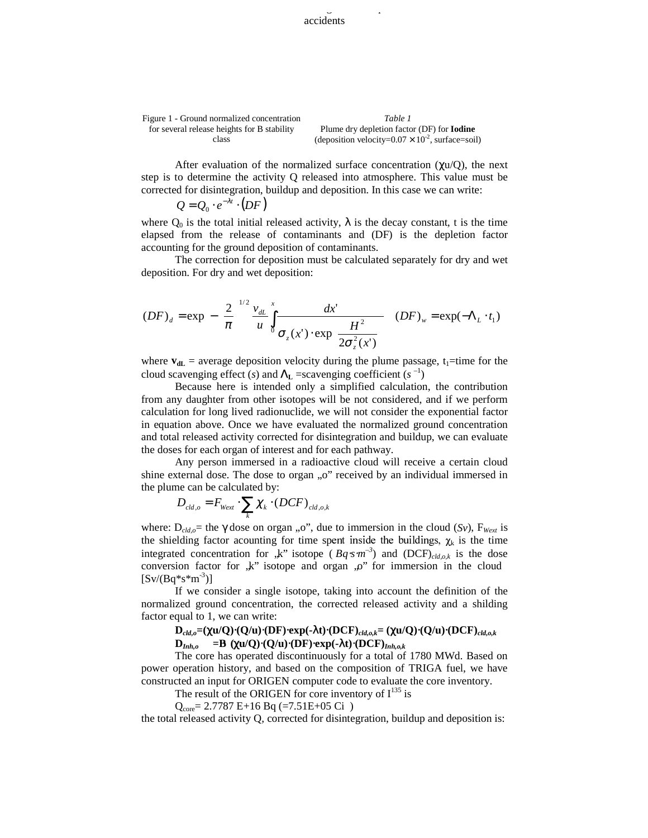Figure 1 - Ground normalized concentration for several release heights for B stability class *Table 1* Plume dry depletion factor (DF) for **Iodine** (deposition velocity= $0.07 \times 10^{-2}$ , surface=soil)

After evaluation of the normalized surface concentration  $(\gamma u/O)$ , the next step is to determine the activity Q released into atmosphere. This value must be corrected for disintegration, buildup and deposition. In this case we can write:

$$
Q = Q_0 \cdot e^{-\lambda t} \cdot (DF)
$$

 $\Gamma$ 

where  $Q_0$  is the total initial released activity,  $\lambda$  is the decay constant, t is the time elapsed from the release of contaminants and (DF) is the depletion factor accounting for the ground deposition of contaminants.

The correction for deposition must be calculated separately for dry and wet deposition. For dry and wet deposition:

 $\overline{1}$ 

$$
(DF)_{d} = \exp\left[-\left(\frac{2}{\pi}\right)^{1/2} \frac{v_{dL}}{u} \int_{0}^{x} \frac{dx'}{\sigma_z(x') \cdot \exp\left(\frac{H^2}{2\sigma_z^2(x')}\right)} \right] (DF)_{w} = \exp(-\Lambda_L \cdot t_1)
$$

where  $v_{dL}$  = average deposition velocity during the plume passage,  $t_1$ =time for the cloud scavenging effect (*s*) and  $\Lambda$ <sub>L</sub> =scavenging coefficient (*s*<sup>-1</sup>)

Because here is intended only a simplified calculation, the contribution from any daughter from other isotopes will be not considered, and if we perform calculation for long lived radionuclide, we will not consider the exponential factor in equation above. Once we have evaluated the normalized ground concentration and total released activity corrected for disintegration and buildup, we can evaluate the doses for each organ of interest and for each pathway.

Any person immersed in a radioactive cloud will receive a certain cloud shine external dose. The dose to organ "o" received by an individual immersed in the plume can be calculated by:

$$
D_{\mathrm{cld},o} = F_{\mathrm{Wext}} \cdot \sum_{k} \chi_{k} \cdot (DCF)_{\mathrm{cld},o,k}
$$

where:  $D_{cld,o}$  = the  $\gamma$  dose on organ ,,o", due to immersion in the cloud (*Sv*),  $F_{Wext}$  is the shielding factor acounting for time spent inside the buildings,  $\chi_k$  is the time integrated concentration for  $\kappa$ <sup>"</sup> isotope ( $Bq·s·m^{-3}$ ) and (DCF)<sub>cld,ok</sub> is the dose conversion factor for  $\mathbf{k}$ " isotope and organ  $\mathbf{p}$ " for immersion in the cloud  $[Sv/(Bq*s*m^{-3})]$ 

If we consider a single isotope, taking into account the definition of the normalized ground concentration, the corrected released activity and a shilding factor equal to 1, we can write:

## **D***cld,o***=(**χ**u/Q)**⋅**(Q/u)**⋅**(DF)**⋅**exp(-**λ**t)**⋅**(DCF)***cld,o,k***= (**χ**u/Q)**⋅**(Q/u)**⋅**(DCF)***cld,o,k*  $D_{Inh,o}$  =B  $(\chi u/Q) \cdot (Q/u) \cdot (DF) \cdot \exp(-\lambda t) \cdot (DCF)_{Inh,o,k}$

The core has operated discontinuously for a total of 1780 MWd. Based on power operation history, and based on the composition of TRIGA fuel, we have constructed an input for ORIGEN computer code to evaluate the core inventory.

The result of the ORIGEN for core inventory of  $I^{135}$  is

 $Q_{\text{core}}$  = 2.7787 E+16 Bq (=7.51E+05 Ci)

the total released activity Q, corrected for disintegration, buildup and deposition is: